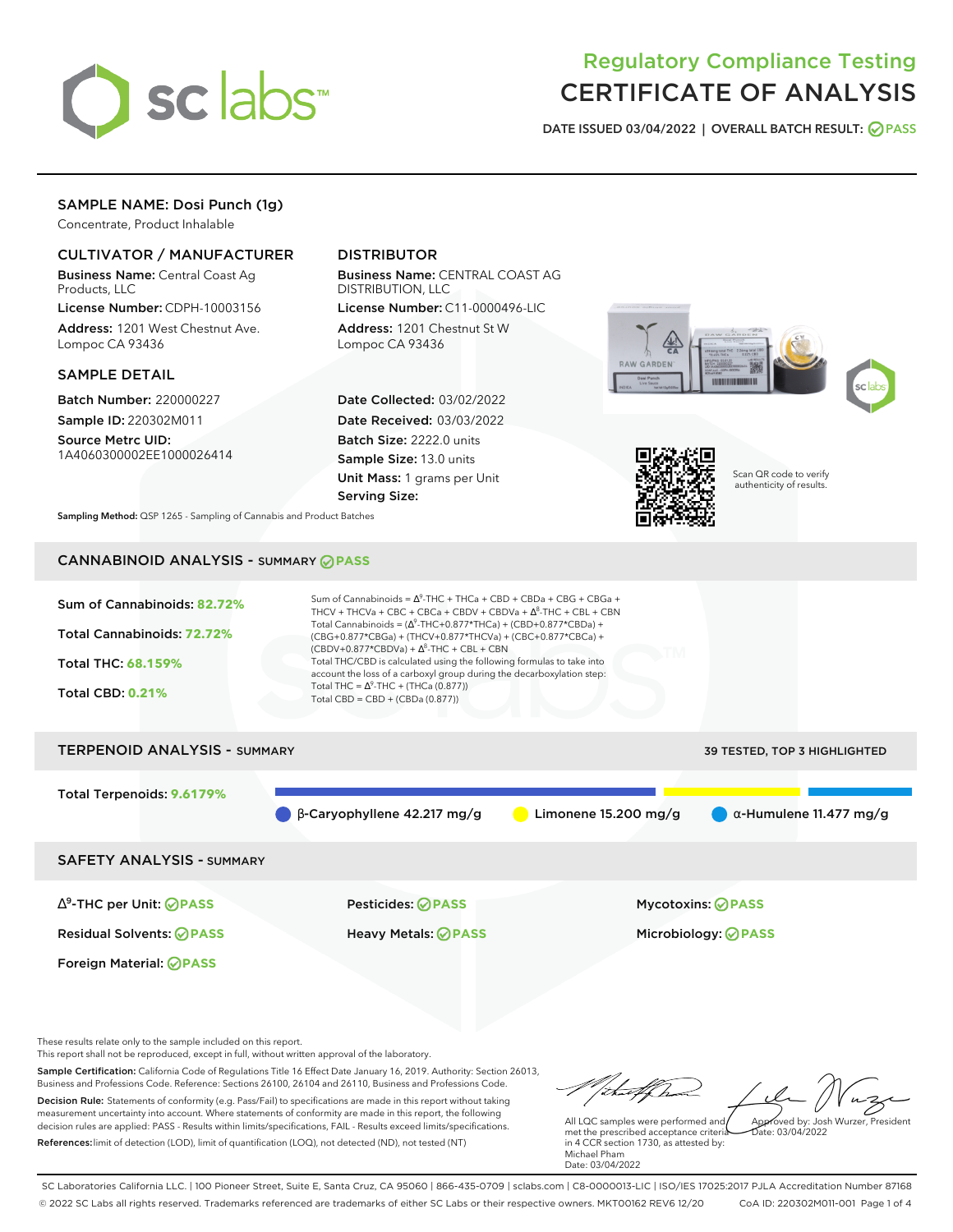

# Regulatory Compliance Testing CERTIFICATE OF ANALYSIS

**DATE ISSUED 03/04/2022 | OVERALL BATCH RESULT: PASS**

# SAMPLE NAME: Dosi Punch (1g)

Concentrate, Product Inhalable

# CULTIVATOR / MANUFACTURER

Business Name: Central Coast Ag Products, LLC

License Number: CDPH-10003156 Address: 1201 West Chestnut Ave. Lompoc CA 93436

#### SAMPLE DETAIL

Batch Number: 220000227 Sample ID: 220302M011

Source Metrc UID: 1A4060300002EE1000026414

# DISTRIBUTOR

Business Name: CENTRAL COAST AG DISTRIBUTION, LLC

License Number: C11-0000496-LIC Address: 1201 Chestnut St W Lompoc CA 93436

Date Collected: 03/02/2022 Date Received: 03/03/2022 Batch Size: 2222.0 units Sample Size: 13.0 units Unit Mass: 1 grams per Unit Serving Size:





Scan QR code to verify authenticity of results.

**Sampling Method:** QSP 1265 - Sampling of Cannabis and Product Batches

# CANNABINOID ANALYSIS - SUMMARY **PASS**



These results relate only to the sample included on this report.

This report shall not be reproduced, except in full, without written approval of the laboratory.

Sample Certification: California Code of Regulations Title 16 Effect Date January 16, 2019. Authority: Section 26013, Business and Professions Code. Reference: Sections 26100, 26104 and 26110, Business and Professions Code. Decision Rule: Statements of conformity (e.g. Pass/Fail) to specifications are made in this report without taking measurement uncertainty into account. Where statements of conformity are made in this report, the following decision rules are applied: PASS - Results within limits/specifications, FAIL - Results exceed limits/specifications.

References:limit of detection (LOD), limit of quantification (LOQ), not detected (ND), not tested (NT)

tu#f h Approved by: Josh Wurzer, President

 $\frac{1}{2}$  03/04/2022

All LQC samples were performed and met the prescribed acceptance criteria in 4 CCR section 1730, as attested by: Michael Pham Date: 03/04/2022

SC Laboratories California LLC. | 100 Pioneer Street, Suite E, Santa Cruz, CA 95060 | 866-435-0709 | sclabs.com | C8-0000013-LIC | ISO/IES 17025:2017 PJLA Accreditation Number 87168 © 2022 SC Labs all rights reserved. Trademarks referenced are trademarks of either SC Labs or their respective owners. MKT00162 REV6 12/20 CoA ID: 220302M011-001 Page 1 of 4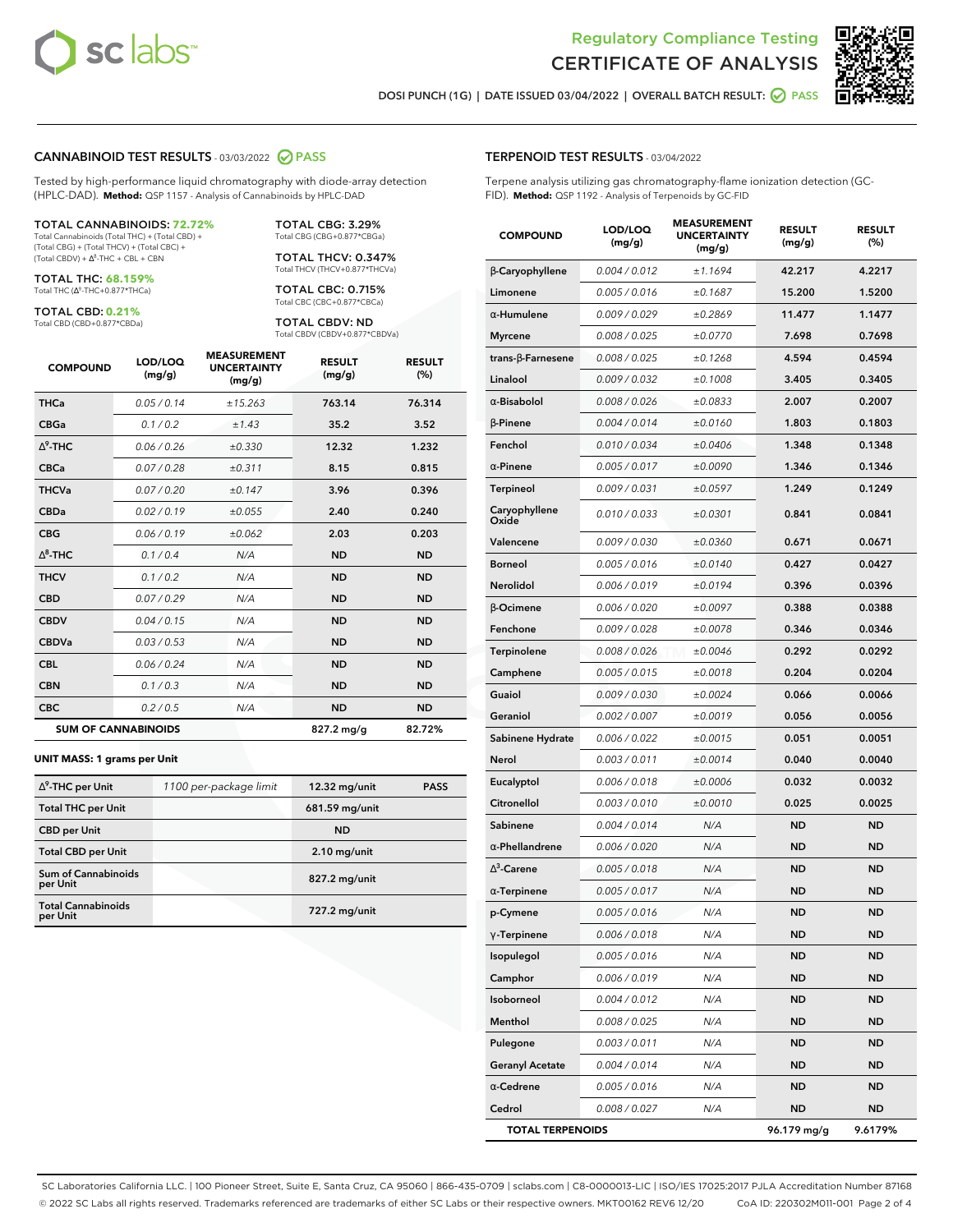



**DOSI PUNCH (1G) | DATE ISSUED 03/04/2022 | OVERALL BATCH RESULT: PASS**

#### **CANNABINOID TEST RESULTS** - 03/03/2022 **PASS**

Tested by high-performance liquid chromatography with diode-array detection (HPLC-DAD). **Method:** QSP 1157 - Analysis of Cannabinoids by HPLC-DAD

#### TOTAL CANNABINOIDS: **72.72%**

Total Cannabinoids (Total THC) + (Total CBD) + (Total CBG) + (Total THCV) + (Total CBC) +  $(Total CBDV) +  $\Delta^8$ -THC + CBL + CBN$ 

TOTAL THC: **68.159%** Total THC (Ƽ-THC+0.877\*THCa)

TOTAL CBD: **0.21%**

Total CBD (CBD+0.877\*CBDa)

TOTAL CBG: 3.29% Total CBG (CBG+0.877\*CBGa)

TOTAL THCV: 0.347% Total THCV (THCV+0.877\*THCVa)

TOTAL CBC: 0.715% Total CBC (CBC+0.877\*CBCa)

TOTAL CBDV: ND Total CBDV (CBDV+0.877\*CBDVa)

| <b>COMPOUND</b> | LOD/LOQ<br>(mg/g)          | <b>MEASUREMENT</b><br><b>UNCERTAINTY</b><br>(mg/g) | <b>RESULT</b><br>(mg/g) | <b>RESULT</b><br>(%) |
|-----------------|----------------------------|----------------------------------------------------|-------------------------|----------------------|
| <b>THCa</b>     | 0.05/0.14                  | ±15.263                                            | 763.14                  | 76.314               |
| <b>CBGa</b>     | 0.1 / 0.2                  | ±1.43                                              | 35.2                    | 3.52                 |
| $\Delta^9$ -THC | 0.06 / 0.26                | ±0.330                                             | 12.32                   | 1.232                |
| <b>CBCa</b>     | 0.07 / 0.28                | ±0.311                                             | 8.15                    | 0.815                |
| <b>THCVa</b>    | 0.07 / 0.20                | ±0.147                                             | 3.96                    | 0.396                |
| <b>CBDa</b>     | 0.02/0.19                  | ±0.055                                             | 2.40                    | 0.240                |
| <b>CBG</b>      | 0.06/0.19                  | ±0.062                                             | 2.03                    | 0.203                |
| $\wedge^8$ -THC | 0.1 / 0.4                  | N/A                                                | <b>ND</b>               | <b>ND</b>            |
| <b>THCV</b>     | 0.1 / 0.2                  | N/A                                                | <b>ND</b>               | <b>ND</b>            |
| <b>CBD</b>      | 0.07/0.29                  | N/A                                                | <b>ND</b>               | <b>ND</b>            |
| <b>CBDV</b>     | 0.04 / 0.15                | N/A                                                | <b>ND</b>               | <b>ND</b>            |
| <b>CBDVa</b>    | 0.03 / 0.53                | N/A                                                | <b>ND</b>               | <b>ND</b>            |
| <b>CBL</b>      | 0.06 / 0.24                | N/A                                                | <b>ND</b>               | <b>ND</b>            |
| <b>CBN</b>      | 0.1 / 0.3                  | N/A                                                | <b>ND</b>               | <b>ND</b>            |
| <b>CBC</b>      | 0.2 / 0.5                  | N/A                                                | <b>ND</b>               | <b>ND</b>            |
|                 | <b>SUM OF CANNABINOIDS</b> |                                                    | 827.2 mg/g              | 82.72%               |

#### **UNIT MASS: 1 grams per Unit**

| $\Delta^9$ -THC per Unit              | 1100 per-package limit | 12.32 mg/unit  | <b>PASS</b> |
|---------------------------------------|------------------------|----------------|-------------|
| <b>Total THC per Unit</b>             |                        | 681.59 mg/unit |             |
| <b>CBD</b> per Unit                   |                        | <b>ND</b>      |             |
| <b>Total CBD per Unit</b>             |                        | $2.10$ mg/unit |             |
| Sum of Cannabinoids<br>per Unit       |                        | 827.2 mg/unit  |             |
| <b>Total Cannabinoids</b><br>per Unit |                        | 727.2 mg/unit  |             |

#### **TERPENOID TEST RESULTS** - 03/04/2022

Terpene analysis utilizing gas chromatography-flame ionization detection (GC-FID). **Method:** QSP 1192 - Analysis of Terpenoids by GC-FID

| <b>COMPOUND</b>          | LOD/LOQ<br>(mg/g) | <b>MEASUREMENT</b><br><b>UNCERTAINTY</b><br>(mg/g) | <b>RESULT</b><br>(mg/g) | <b>RESULT</b><br>(%) |
|--------------------------|-------------------|----------------------------------------------------|-------------------------|----------------------|
| β-Caryophyllene          | 0.004 / 0.012     | ±1.1694                                            | 42.217                  | 4.2217               |
| Limonene                 | 0.005 / 0.016     | ±0.1687                                            | 15.200                  | 1.5200               |
| $\alpha$ -Humulene       | 0.009/0.029       | ±0.2869                                            | 11.477                  | 1.1477               |
| <b>Myrcene</b>           | 0.008 / 0.025     | ±0.0770                                            | 7.698                   | 0.7698               |
| $trans-\beta$ -Farnesene | 0.008 / 0.025     | ±0.1268                                            | 4.594                   | 0.4594               |
| Linalool                 | 0.009 / 0.032     | ±0.1008                                            | 3.405                   | 0.3405               |
| $\alpha$ -Bisabolol      | 0.008 / 0.026     | ±0.0833                                            | 2.007                   | 0.2007               |
| $\beta$ -Pinene          | 0.004 / 0.014     | ±0.0160                                            | 1.803                   | 0.1803               |
| Fenchol                  | 0.010 / 0.034     | ±0.0406                                            | 1.348                   | 0.1348               |
| $\alpha$ -Pinene         | 0.005 / 0.017     | ±0.0090                                            | 1.346                   | 0.1346               |
| <b>Terpineol</b>         | 0.009 / 0.031     | ±0.0597                                            | 1.249                   | 0.1249               |
| Caryophyllene<br>Oxide   | 0.010 / 0.033     | ±0.0301                                            | 0.841                   | 0.0841               |
| Valencene                | 0.009 / 0.030     | ±0.0360                                            | 0.671                   | 0.0671               |
| <b>Borneol</b>           | 0.005 / 0.016     | ±0.0140                                            | 0.427                   | 0.0427               |
| Nerolidol                | 0.006 / 0.019     | ±0.0194                                            | 0.396                   | 0.0396               |
| β-Ocimene                | 0.006 / 0.020     | ±0.0097                                            | 0.388                   | 0.0388               |
| Fenchone                 | 0.009 / 0.028     | ±0.0078                                            | 0.346                   | 0.0346               |
| Terpinolene              | 0.008 / 0.026     | ±0.0046                                            | 0.292                   | 0.0292               |
| Camphene                 | 0.005 / 0.015     | ±0.0018                                            | 0.204                   | 0.0204               |
| Guaiol                   | 0.009 / 0.030     | ±0.0024                                            | 0.066                   | 0.0066               |
| Geraniol                 | 0.002 / 0.007     | ±0.0019                                            | 0.056                   | 0.0056               |
| Sabinene Hydrate         | 0.006 / 0.022     | ±0.0015                                            | 0.051                   | 0.0051               |
| Nerol                    | 0.003 / 0.011     | ±0.0014                                            | 0.040                   | 0.0040               |
| Eucalyptol               | 0.006 / 0.018     | ±0.0006                                            | 0.032                   | 0.0032               |
| Citronellol              | 0.003 / 0.010     | ±0.0010                                            | 0.025                   | 0.0025               |
| Sabinene                 | 0.004 / 0.014     | N/A                                                | <b>ND</b>               | <b>ND</b>            |
| $\alpha$ -Phellandrene   | 0.006 / 0.020     | N/A                                                | <b>ND</b>               | <b>ND</b>            |
| $\Delta^3$ -Carene       | 0.005 / 0.018     | N/A                                                | ND                      | <b>ND</b>            |
| $\alpha$ -Terpinene      | 0.005 / 0.017     | N/A                                                | <b>ND</b>               | ND                   |
| p-Cymene                 | 0.005 / 0.016     | N/A                                                | <b>ND</b>               | <b>ND</b>            |
| $\gamma$ -Terpinene      | 0.006 / 0.018     | N/A                                                | ND                      | ND                   |
| Isopulegol               | 0.005 / 0.016     | N/A                                                | <b>ND</b>               | <b>ND</b>            |
| Camphor                  | 0.006 / 0.019     | N/A                                                | <b>ND</b>               | <b>ND</b>            |
| Isoborneol               | 0.004 / 0.012     | N/A                                                | ND                      | ND                   |
| Menthol                  | 0.008 / 0.025     | N/A                                                | ND                      | ND                   |
| Pulegone                 | 0.003 / 0.011     | N/A                                                | <b>ND</b>               | <b>ND</b>            |
| <b>Geranyl Acetate</b>   | 0.004 / 0.014     | N/A                                                | ND                      | ND                   |
| $\alpha$ -Cedrene        | 0.005 / 0.016     | N/A                                                | <b>ND</b>               | ND                   |
| Cedrol                   | 0.008 / 0.027     | N/A                                                | <b>ND</b>               | ND                   |
| <b>TOTAL TERPENOIDS</b>  |                   |                                                    | 96.179 mg/g             | 9.6179%              |

SC Laboratories California LLC. | 100 Pioneer Street, Suite E, Santa Cruz, CA 95060 | 866-435-0709 | sclabs.com | C8-0000013-LIC | ISO/IES 17025:2017 PJLA Accreditation Number 87168 © 2022 SC Labs all rights reserved. Trademarks referenced are trademarks of either SC Labs or their respective owners. MKT00162 REV6 12/20 CoA ID: 220302M011-001 Page 2 of 4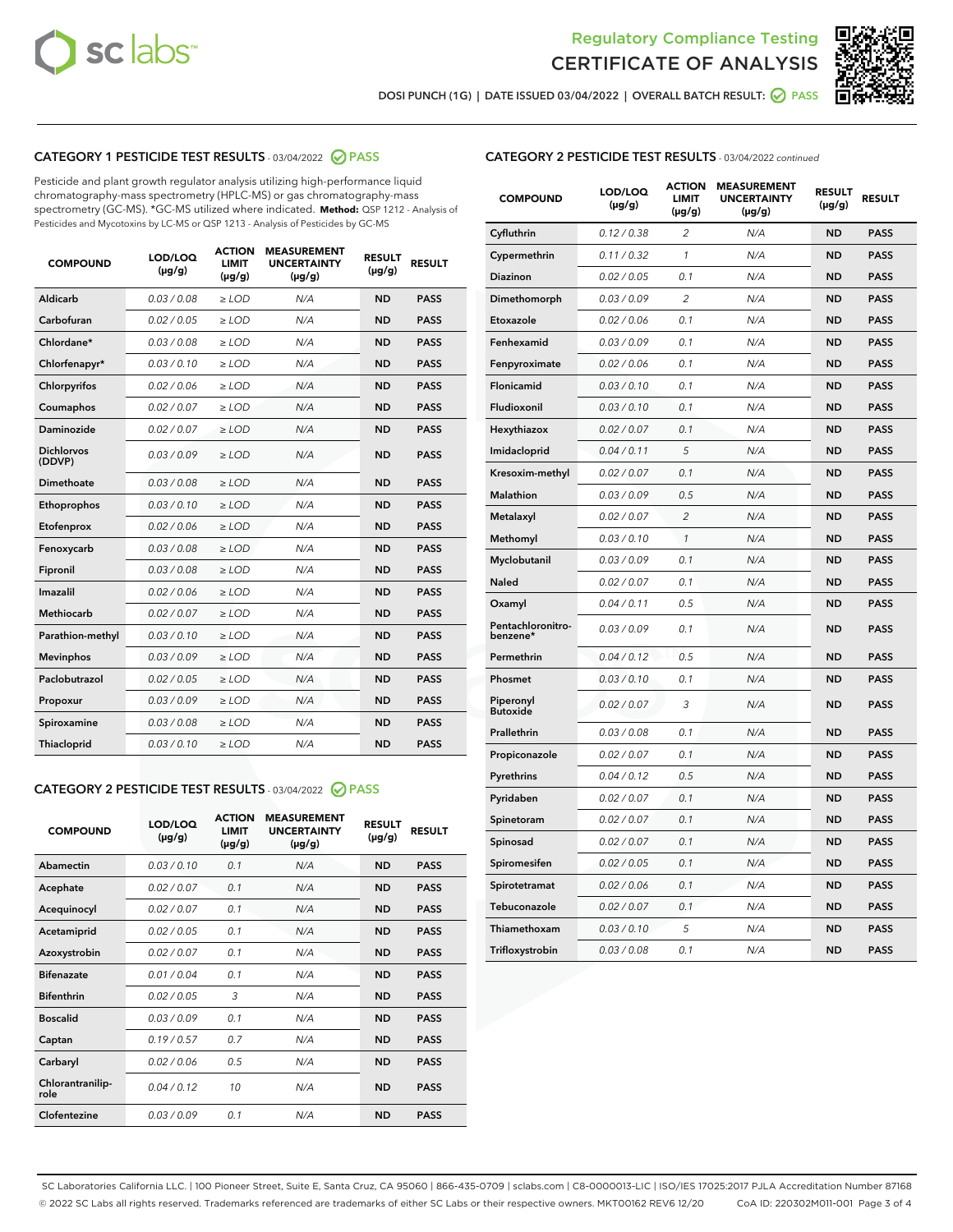



**DOSI PUNCH (1G) | DATE ISSUED 03/04/2022 | OVERALL BATCH RESULT: PASS**

# **CATEGORY 1 PESTICIDE TEST RESULTS** - 03/04/2022 **PASS**

Pesticide and plant growth regulator analysis utilizing high-performance liquid chromatography-mass spectrometry (HPLC-MS) or gas chromatography-mass spectrometry (GC-MS). \*GC-MS utilized where indicated. **Method:** QSP 1212 - Analysis of Pesticides and Mycotoxins by LC-MS or QSP 1213 - Analysis of Pesticides by GC-MS

| <b>COMPOUND</b>             | LOD/LOQ<br>$(\mu g/g)$ | <b>ACTION</b><br>LIMIT<br>$(\mu g/g)$ | <b>MEASUREMENT</b><br><b>UNCERTAINTY</b><br>$(\mu g/g)$ | <b>RESULT</b><br>$(\mu g/g)$ | <b>RESULT</b> |
|-----------------------------|------------------------|---------------------------------------|---------------------------------------------------------|------------------------------|---------------|
| Aldicarb                    | 0.03 / 0.08            | $\ge$ LOD                             | N/A                                                     | <b>ND</b>                    | <b>PASS</b>   |
| Carbofuran                  | 0.02 / 0.05            | $\ge$ LOD                             | N/A                                                     | <b>ND</b>                    | <b>PASS</b>   |
| Chlordane*                  | 0.03/0.08              | $>$ LOD                               | N/A                                                     | <b>ND</b>                    | <b>PASS</b>   |
| Chlorfenapyr*               | 0.03/0.10              | $>$ LOD                               | N/A                                                     | <b>ND</b>                    | <b>PASS</b>   |
| Chlorpyrifos                | 0.02 / 0.06            | $\ge$ LOD                             | N/A                                                     | <b>ND</b>                    | <b>PASS</b>   |
| Coumaphos                   | 0.02 / 0.07            | $\ge$ LOD                             | N/A                                                     | <b>ND</b>                    | <b>PASS</b>   |
| Daminozide                  | 0.02 / 0.07            | $\ge$ LOD                             | N/A                                                     | <b>ND</b>                    | <b>PASS</b>   |
| <b>Dichlorvos</b><br>(DDVP) | 0.03/0.09              | $>$ LOD                               | N/A                                                     | <b>ND</b>                    | <b>PASS</b>   |
| Dimethoate                  | 0.03/0.08              | $\ge$ LOD                             | N/A                                                     | <b>ND</b>                    | <b>PASS</b>   |
| Ethoprophos                 | 0.03/0.10              | $\ge$ LOD                             | N/A                                                     | <b>ND</b>                    | <b>PASS</b>   |
| Etofenprox                  | 0.02 / 0.06            | $\ge$ LOD                             | N/A                                                     | <b>ND</b>                    | <b>PASS</b>   |
| Fenoxycarb                  | 0.03 / 0.08            | $\ge$ LOD                             | N/A                                                     | <b>ND</b>                    | <b>PASS</b>   |
| Fipronil                    | 0.03 / 0.08            | $\ge$ LOD                             | N/A                                                     | <b>ND</b>                    | <b>PASS</b>   |
| Imazalil                    | 0.02/0.06              | $>$ LOD                               | N/A                                                     | <b>ND</b>                    | <b>PASS</b>   |
| <b>Methiocarb</b>           | 0.02 / 0.07            | $\ge$ LOD                             | N/A                                                     | <b>ND</b>                    | <b>PASS</b>   |
| Parathion-methyl            | 0.03/0.10              | $\ge$ LOD                             | N/A                                                     | <b>ND</b>                    | <b>PASS</b>   |
| <b>Mevinphos</b>            | 0.03/0.09              | $>$ LOD                               | N/A                                                     | <b>ND</b>                    | <b>PASS</b>   |
| Paclobutrazol               | 0.02 / 0.05            | $>$ LOD                               | N/A                                                     | <b>ND</b>                    | <b>PASS</b>   |
| Propoxur                    | 0.03/0.09              | $\ge$ LOD                             | N/A                                                     | <b>ND</b>                    | <b>PASS</b>   |
| Spiroxamine                 | 0.03 / 0.08            | $\ge$ LOD                             | N/A                                                     | <b>ND</b>                    | <b>PASS</b>   |
| Thiacloprid                 | 0.03/0.10              | $>$ LOD                               | N/A                                                     | <b>ND</b>                    | <b>PASS</b>   |
|                             |                        |                                       |                                                         |                              |               |

# **CATEGORY 2 PESTICIDE TEST RESULTS** - 03/04/2022 **PASS**

| <b>COMPOUND</b>          | LOD/LOO<br>$(\mu g/g)$ | <b>ACTION</b><br><b>LIMIT</b><br>$(\mu g/g)$ | <b>MEASUREMENT</b><br><b>UNCERTAINTY</b><br>$(\mu g/g)$ | <b>RESULT</b><br>$(\mu g/g)$ | <b>RESULT</b> |
|--------------------------|------------------------|----------------------------------------------|---------------------------------------------------------|------------------------------|---------------|
| Abamectin                | 0.03/0.10              | 0.1                                          | N/A                                                     | <b>ND</b>                    | <b>PASS</b>   |
| Acephate                 | 0.02 / 0.07            | 0.1                                          | N/A                                                     | <b>ND</b>                    | <b>PASS</b>   |
| Acequinocyl              | 0.02/0.07              | 0.1                                          | N/A                                                     | <b>ND</b>                    | <b>PASS</b>   |
| Acetamiprid              | 0.02/0.05              | 0.1                                          | N/A                                                     | <b>ND</b>                    | <b>PASS</b>   |
| Azoxystrobin             | 0.02 / 0.07            | 0.1                                          | N/A                                                     | <b>ND</b>                    | <b>PASS</b>   |
| <b>Bifenazate</b>        | 0.01/0.04              | 0.1                                          | N/A                                                     | <b>ND</b>                    | <b>PASS</b>   |
| <b>Bifenthrin</b>        | 0.02/0.05              | 3                                            | N/A                                                     | <b>ND</b>                    | <b>PASS</b>   |
| <b>Boscalid</b>          | 0.03/0.09              | 0.1                                          | N/A                                                     | <b>ND</b>                    | <b>PASS</b>   |
| Captan                   | 0.19/0.57              | 0.7                                          | N/A                                                     | <b>ND</b>                    | <b>PASS</b>   |
| Carbaryl                 | 0.02/0.06              | 0.5                                          | N/A                                                     | <b>ND</b>                    | <b>PASS</b>   |
| Chlorantranilip-<br>role | 0.04/0.12              | 10                                           | N/A                                                     | <b>ND</b>                    | <b>PASS</b>   |
| Clofentezine             | 0.03/0.09              | 0.1                                          | N/A                                                     | <b>ND</b>                    | <b>PASS</b>   |

| <b>CATEGORY 2 PESTICIDE TEST RESULTS</b> - 03/04/2022 continued |
|-----------------------------------------------------------------|
|-----------------------------------------------------------------|

| <b>COMPOUND</b>               | LOD/LOQ<br>(µg/g) | <b>ACTION</b><br><b>LIMIT</b><br>(µg/g) | <b>MEASUREMENT</b><br><b>UNCERTAINTY</b><br>$(\mu g/g)$ | <b>RESULT</b><br>(µg/g) | <b>RESULT</b> |
|-------------------------------|-------------------|-----------------------------------------|---------------------------------------------------------|-------------------------|---------------|
| Cyfluthrin                    | 0.12 / 0.38       | $\overline{c}$                          | N/A                                                     | <b>ND</b>               | <b>PASS</b>   |
| Cypermethrin                  | 0.11 / 0.32       | 1                                       | N/A                                                     | <b>ND</b>               | <b>PASS</b>   |
| <b>Diazinon</b>               | 0.02 / 0.05       | 0.1                                     | N/A                                                     | <b>ND</b>               | <b>PASS</b>   |
| Dimethomorph                  | 0.03 / 0.09       | 2                                       | N/A                                                     | <b>ND</b>               | <b>PASS</b>   |
| Etoxazole                     | 0.02 / 0.06       | 0.1                                     | N/A                                                     | <b>ND</b>               | <b>PASS</b>   |
| Fenhexamid                    | 0.03 / 0.09       | 0.1                                     | N/A                                                     | <b>ND</b>               | <b>PASS</b>   |
| Fenpyroximate                 | 0.02 / 0.06       | 0.1                                     | N/A                                                     | <b>ND</b>               | <b>PASS</b>   |
| Flonicamid                    | 0.03 / 0.10       | 0.1                                     | N/A                                                     | <b>ND</b>               | <b>PASS</b>   |
| Fludioxonil                   | 0.03 / 0.10       | 0.1                                     | N/A                                                     | <b>ND</b>               | <b>PASS</b>   |
| Hexythiazox                   | 0.02 / 0.07       | 0.1                                     | N/A                                                     | <b>ND</b>               | <b>PASS</b>   |
| Imidacloprid                  | 0.04 / 0.11       | 5                                       | N/A                                                     | <b>ND</b>               | <b>PASS</b>   |
| Kresoxim-methyl               | 0.02 / 0.07       | 0.1                                     | N/A                                                     | <b>ND</b>               | <b>PASS</b>   |
| Malathion                     | 0.03 / 0.09       | 0.5                                     | N/A                                                     | <b>ND</b>               | <b>PASS</b>   |
| Metalaxyl                     | 0.02 / 0.07       | $\overline{c}$                          | N/A                                                     | <b>ND</b>               | <b>PASS</b>   |
| Methomyl                      | 0.03 / 0.10       | 1                                       | N/A                                                     | <b>ND</b>               | <b>PASS</b>   |
| Myclobutanil                  | 0.03 / 0.09       | 0.1                                     | N/A                                                     | <b>ND</b>               | <b>PASS</b>   |
| Naled                         | 0.02 / 0.07       | 0.1                                     | N/A                                                     | <b>ND</b>               | <b>PASS</b>   |
| Oxamyl                        | 0.04 / 0.11       | 0.5                                     | N/A                                                     | <b>ND</b>               | <b>PASS</b>   |
| Pentachloronitro-<br>benzene* | 0.03 / 0.09       | 0.1                                     | N/A                                                     | <b>ND</b>               | <b>PASS</b>   |
| Permethrin                    | 0.04 / 0.12       | 0.5                                     | N/A                                                     | <b>ND</b>               | <b>PASS</b>   |
| Phosmet                       | 0.03 / 0.10       | 0.1                                     | N/A                                                     | <b>ND</b>               | <b>PASS</b>   |
| Piperonyl<br><b>Butoxide</b>  | 0.02 / 0.07       | 3                                       | N/A                                                     | <b>ND</b>               | <b>PASS</b>   |
| Prallethrin                   | 0.03 / 0.08       | 0.1                                     | N/A                                                     | <b>ND</b>               | <b>PASS</b>   |
| Propiconazole                 | 0.02 / 0.07       | 0.1                                     | N/A                                                     | <b>ND</b>               | <b>PASS</b>   |
| Pyrethrins                    | 0.04 / 0.12       | 0.5                                     | N/A                                                     | <b>ND</b>               | <b>PASS</b>   |
| Pyridaben                     | 0.02 / 0.07       | 0.1                                     | N/A                                                     | <b>ND</b>               | <b>PASS</b>   |
| Spinetoram                    | 0.02 / 0.07       | 0.1                                     | N/A                                                     | <b>ND</b>               | <b>PASS</b>   |
| Spinosad                      | 0.02 / 0.07       | 0.1                                     | N/A                                                     | <b>ND</b>               | <b>PASS</b>   |
| Spiromesifen                  | 0.02 / 0.05       | 0.1                                     | N/A                                                     | <b>ND</b>               | <b>PASS</b>   |
| Spirotetramat                 | 0.02 / 0.06       | 0.1                                     | N/A                                                     | <b>ND</b>               | <b>PASS</b>   |
| Tebuconazole                  | 0.02 / 0.07       | 0.1                                     | N/A                                                     | <b>ND</b>               | <b>PASS</b>   |
| Thiamethoxam                  | 0.03 / 0.10       | 5                                       | N/A                                                     | <b>ND</b>               | <b>PASS</b>   |
| Trifloxystrobin               | 0.03 / 0.08       | 0.1                                     | N/A                                                     | <b>ND</b>               | <b>PASS</b>   |

SC Laboratories California LLC. | 100 Pioneer Street, Suite E, Santa Cruz, CA 95060 | 866-435-0709 | sclabs.com | C8-0000013-LIC | ISO/IES 17025:2017 PJLA Accreditation Number 87168 © 2022 SC Labs all rights reserved. Trademarks referenced are trademarks of either SC Labs or their respective owners. MKT00162 REV6 12/20 CoA ID: 220302M011-001 Page 3 of 4